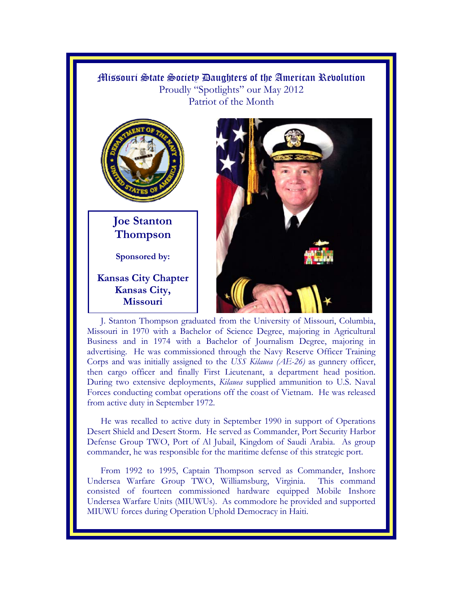## Missouri State Society Daughters of the American Revolution Proudly "Spotlights" our May 2012 Patriot of the Month



**Joe Stanton Thompson** 

**Sponsored by:** 

**Kansas City Chapter Kansas City, Missouri** 



J. Stanton Thompson graduated from the University of Missouri, Columbia, Missouri in 1970 with a Bachelor of Science Degree, majoring in Agricultural Business and in 1974 with a Bachelor of Journalism Degree, majoring in advertising. He was commissioned through the Navy Reserve Officer Training Corps and was initially assigned to the *USS Kilauea (AE-26)* as gunnery officer, then cargo officer and finally First Lieutenant, a department head position. During two extensive deployments, *Kilauea* supplied ammunition to U.S. Naval Forces conducting combat operations off the coast of Vietnam. He was released from active duty in September 1972.

He was recalled to active duty in September 1990 in support of Operations Desert Shield and Desert Storm. He served as Commander, Port Security Harbor Defense Group TWO, Port of Al Jubail, Kingdom of Saudi Arabia. As group commander, he was responsible for the maritime defense of this strategic port.

From 1992 to 1995, Captain Thompson served as Commander, Inshore Undersea Warfare Group TWO, Williamsburg, Virginia. This command consisted of fourteen commissioned hardware equipped Mobile Inshore Undersea Warfare Units (MIUWUs). As commodore he provided and supported MIUWU forces during Operation Uphold Democracy in Haiti.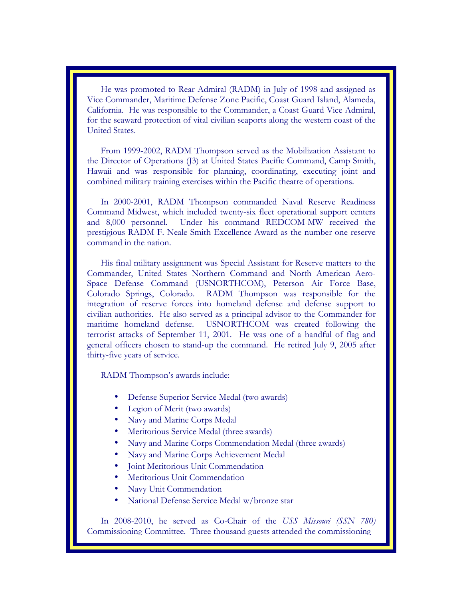He was promoted to Rear Admiral (RADM) in July of 1998 and assigned as Vice Commander, Maritime Defense Zone Pacific, Coast Guard Island, Alameda, California. He was responsible to the Commander, a Coast Guard Vice Admiral, for the seaward protection of vital civilian seaports along the western coast of the United States.

From 1999-2002, RADM Thompson served as the Mobilization Assistant to the Director of Operations (J3) at United States Pacific Command, Camp Smith, Hawaii and was responsible for planning, coordinating, executing joint and combined military training exercises within the Pacific theatre of operations.

In 2000-2001, RADM Thompson commanded Naval Reserve Readiness Command Midwest, which included twenty-six fleet operational support centers and 8,000 personnel. Under his command REDCOM-MW received the prestigious RADM F. Neale Smith Excellence Award as the number one reserve command in the nation.

His final military assignment was Special Assistant for Reserve matters to the Commander, United States Northern Command and North American Aero-Space Defense Command (USNORTHCOM), Peterson Air Force Base, Colorado Springs, Colorado. RADM Thompson was responsible for the integration of reserve forces into homeland defense and defense support to civilian authorities. He also served as a principal advisor to the Commander for maritime homeland defense. USNORTHCOM was created following the terrorist attacks of September 11, 2001. He was one of a handful of flag and general officers chosen to stand-up the command. He retired July 9, 2005 after thirty-five years of service.

RADM Thompson's awards include:

- Defense Superior Service Medal (two awards)
- Legion of Merit (two awards)
- Navy and Marine Corps Medal
- Meritorious Service Medal (three awards)
- Navy and Marine Corps Commendation Medal (three awards)
- Navy and Marine Corps Achievement Medal
- Joint Meritorious Unit Commendation
- Meritorious Unit Commendation
- Navy Unit Commendation
- National Defense Service Medal w/bronze star

In 2008-2010, he served as Co-Chair of the *USS Missouri (SSN 780)*  Commissioning Committee. Three thousand guests attended the commissioning